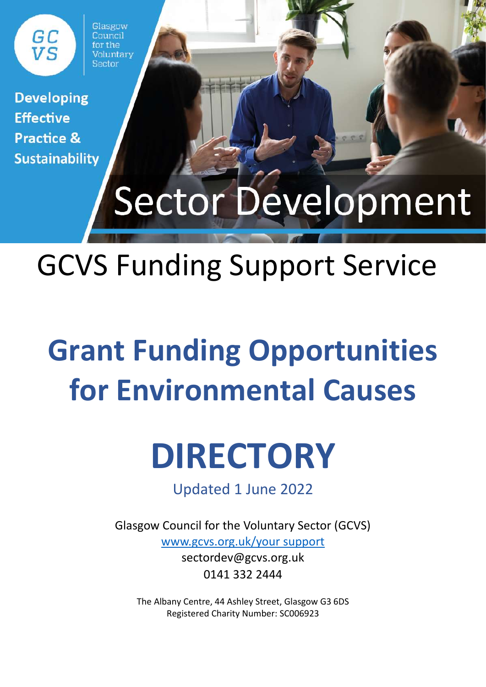Glasgow Council  $for the$ Voluntary Sector

**Developing Effective Practice & Sustainability** 

GC<br>VS

# **Sector Development**

## GCVS Funding Support Service

## **Grant Funding Opportunities for Environmental Causes**

## **DIRECTORY**

Updated 1 June 2022

Glasgow Council for the Voluntary Sector (GCVS) [www.gcvs.org.uk/your](http://www.gcvs.org.uk/your) support sectordev@gcvs.org.uk 0141 332 2444

The Albany Centre, 44 Ashley Street, Glasgow G3 6DS Registered Charity Number: SC006923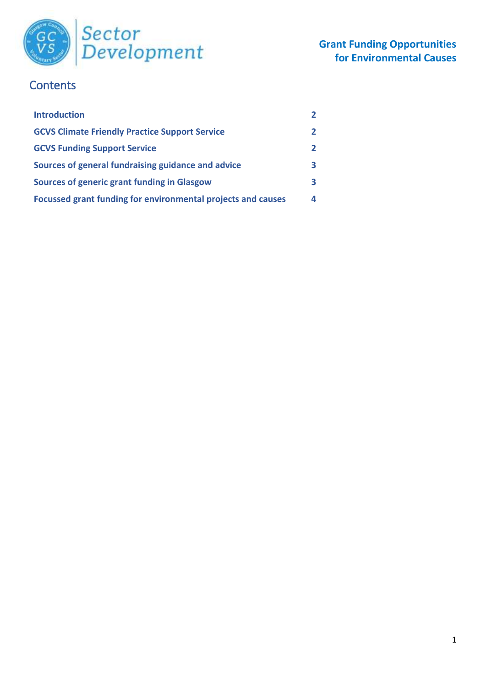

### **Contents**

| <b>Introduction</b>                                          | $\overline{2}$ |
|--------------------------------------------------------------|----------------|
| <b>GCVS Climate Friendly Practice Support Service</b>        | $\overline{2}$ |
| <b>GCVS Funding Support Service</b>                          | $\overline{2}$ |
| Sources of general fundraising guidance and advice           | 3              |
| <b>Sources of generic grant funding in Glasgow</b>           | 3              |
| Focussed grant funding for environmental projects and causes | 4              |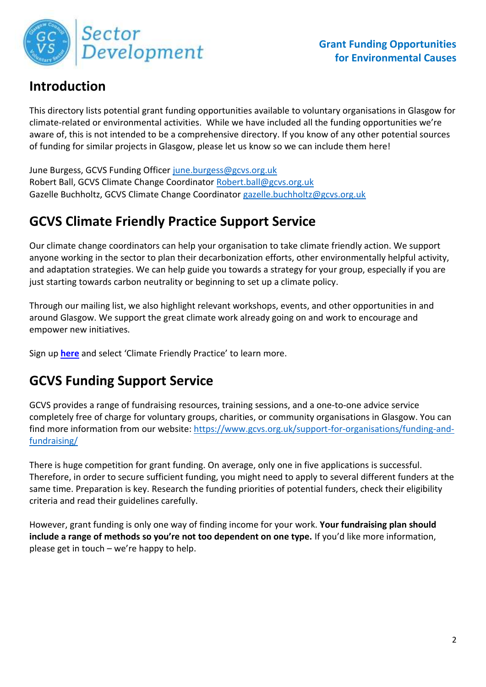

## **Introduction**

This directory lists potential grant funding opportunities available to voluntary organisations in Glasgow for climate-related or environmental activities. While we have included all the funding opportunities we're aware of, this is not intended to be a comprehensive directory. If you know of any other potential sources of funding for similar projects in Glasgow, please let us know so we can include them here!

June Burgess, GCVS Funding Officer [june.burgess@gcvs.org.uk](mailto:june.burgess@gcvs.org.uk) Robert Ball, GCVS Climate Change Coordinator [Robert.ball@gcvs.org.uk](mailto:Robert.ball@gcvs.org.uk) Gazelle Buchholtz, GCVS Climate Change Coordinator [gazelle.buchholtz@gcvs.org.uk](mailto:gazelle.buchholtz@gcvs.org.uk)

## **GCVS Climate Friendly Practice Support Service**

Our climate change coordinators can help your organisation to take climate friendly action. We support anyone working in the sector to plan their decarbonization efforts, other environmentally helpful activity, and adaptation strategies. We can help guide you towards a strategy for your group, especially if you are just starting towards carbon neutrality or beginning to set up a climate policy.

Through our mailing list, we also highlight relevant workshops, events, and other opportunities in and around Glasgow. We support the great climate work already going on and work to encourage and empower new initiatives.

Sign up **[here](https://gcvs.us2.list-manage.com/subscribe?u=239c05d4a3f8291346f83f0db&id=f59d87f8e5)** and select 'Climate Friendly Practice' to learn more.

## **GCVS Funding Support Service**

GCVS provides a range of fundraising resources, training sessions, and a one-to-one advice service completely free of charge for voluntary groups, charities, or community organisations in Glasgow. You can find more information from our website: [https://www.gcvs.org.uk/support-for-organisations/funding-and](https://www.gcvs.org.uk/support-for-organisations/funding-and-fundraising/)[fundraising/](https://www.gcvs.org.uk/support-for-organisations/funding-and-fundraising/)

There is huge competition for grant funding. On average, only one in five applications is successful. Therefore, in order to secure sufficient funding, you might need to apply to several different funders at the same time. Preparation is key. Research the funding priorities of potential funders, check their eligibility criteria and read their guidelines carefully.

However, grant funding is only one way of finding income for your work. **Your fundraising plan should include a range of methods so you're not too dependent on one type.** If you'd like more information, please get in touch – we're happy to help.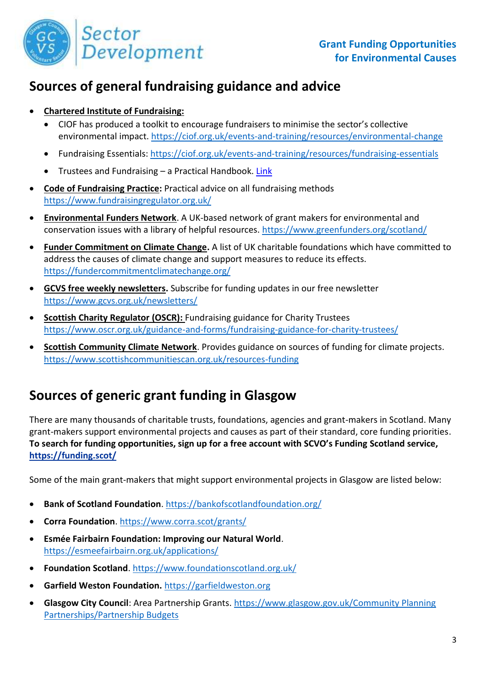

### **Sources of general fundraising guidance and advice**

#### **Chartered Institute of Fundraising:**

- CIOF has produced a toolkit to encourage fundraisers to minimise the sector's collective environmental impact.<https://ciof.org.uk/events-and-training/resources/environmental-change>
- Fundraising Essentials:<https://ciof.org.uk/events-and-training/resources/fundraising-essentials>
- Trustees and Fundraising a Practical Handbook. [Link](https://ciof.org.uk/IoF/media/IOF/Policy/1trustees-and-fundraising-a-practical-guide-online-(2).pdf?ext=.pdf)
- **Code of Fundraising Practice:** Practical advice on all fundraising methods <https://www.fundraisingregulator.org.uk/>
- **Environmental Funders Network**. A UK-based network of grant makers for environmental and conservation issues with a library of helpful resources.<https://www.greenfunders.org/scotland/>
- **Funder Commitment on Climate Change.** A list of UK charitable foundations which have committed to address the causes of climate change and support measures to reduce its effects. <https://fundercommitmentclimatechange.org/>
- **GCVS free weekly newsletters.** Subscribe for funding updates in our free newsletter <https://www.gcvs.org.uk/newsletters/>
- **Scottish Charity Regulator (OSCR):** Fundraising guidance for Charity Trustees <https://www.oscr.org.uk/guidance-and-forms/fundraising-guidance-for-charity-trustees/>
- **Scottish Community Climate Network**. Provides guidance on sources of funding for climate projects. <https://www.scottishcommunitiescan.org.uk/resources-funding>

## **Sources of generic grant funding in Glasgow**

There are many thousands of charitable trusts, foundations, agencies and grant-makers in Scotland. Many grant-makers support environmental projects and causes as part of their standard, core funding priorities. **To search for funding opportunities, sign up for a free account with SCVO's Funding Scotland service, <https://funding.scot/>**

Some of the main grant-makers that might support environmental projects in Glasgow are listed below:

- **Bank of Scotland Foundation**.<https://bankofscotlandfoundation.org/>
- **Corra Foundation**.<https://www.corra.scot/grants/>
- **Esmée Fairbairn Foundation: Improving our Natural World**. <https://esmeefairbairn.org.uk/applications/>
- **Foundation Scotland**[. https://www.foundationscotland.org.uk/](https://www.foundationscotland.org.uk/)
- **Garfield Weston Foundation.** [https://garfieldweston.org](https://garfieldweston.org/)
- **Glasgow City Council**: Area Partnership Grants. [https://www.glasgow.gov.uk/Community Planning](https://www.glasgow.gov.uk/index.aspx?articleid=18748)  [Partnerships/Partnership Budgets](https://www.glasgow.gov.uk/index.aspx?articleid=18748)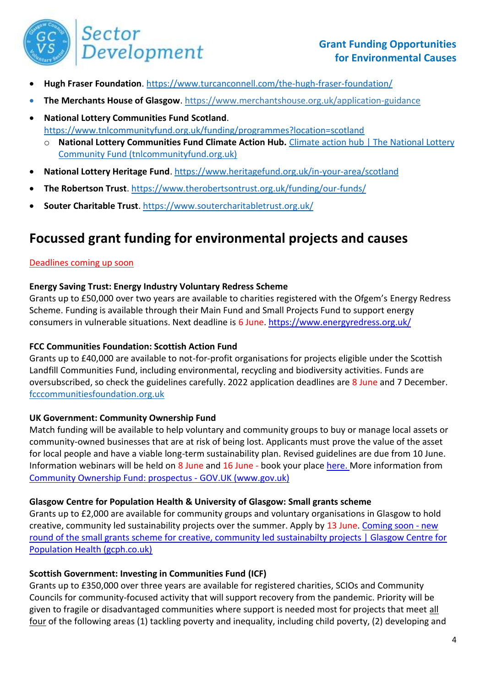

- **Hugh Fraser Foundation**.<https://www.turcanconnell.com/the-hugh-fraser-foundation/>
- **The Merchants House of Glasgow**.<https://www.merchantshouse.org.uk/application-guidance>
- **National Lottery Communities Fund Scotland**. <https://www.tnlcommunityfund.org.uk/funding/programmes?location=scotland> **National Lottery Communities Fund Climate Action Hub.** Climate action hub | The National Lottery [Community Fund \(tnlcommunityfund.org.uk\)](https://www.tnlcommunityfund.org.uk/key-initiatives/climate-action-hub)
- **National Lottery Heritage Fund**[. https://www.heritagefund.org.uk/in-your-area/scotland](https://www.heritagefund.org.uk/in-your-area/scotland)
- **The Robertson Trust**.<https://www.therobertsontrust.org.uk/funding/our-funds/>
- **Souter Charitable Trust**.<https://www.soutercharitabletrust.org.uk/>

## **Focussed grant funding for environmental projects and causes**

#### Deadlines coming up soon

#### **Energy Saving Trust: Energy Industry Voluntary Redress Scheme**

Grants up to £50,000 over two years are available to charities registered with the Ofgem's Energy Redress Scheme. Funding is available through their Main Fund and Small Projects Fund to support energy consumers in vulnerable situations. Next deadline is 6 June.<https://www.energyredress.org.uk/>

#### **FCC Communities Foundation: Scottish Action Fund**

Grants up to £40,000 are available to not-for-profit organisations for projects eligible under the Scottish Landfill Communities Fund, including environmental, recycling and biodiversity activities. Funds are oversubscribed, so check the guidelines carefully. 2022 application deadlines are 8 June and 7 December. [fcccommunitiesfoundation.org.uk](https://fcccommunitiesfoundation.org.uk/funds/fcc-scottish-action-fund?msclkid=857c4c46a9d711ecbf5b7a962b21d048)

#### **UK Government: Community Ownership Fund**

Match funding will be available to help voluntary and community groups to buy or manage local assets or community-owned businesses that are at risk of being lost. Applicants must prove the value of the asset for local people and have a viable long-term sustainability plan. Revised guidelines are due from 10 June. Information webinars will be held on 8 June and 16 June - book your place [here. M](https://forms.office.com/pages/responsepage.aspx?id=EGg0v32c3kOociSi7zmVqLXwFDTckQdPuyZtS-lNwH5UMFRUNTlMWEcyQzBNNUxRNkpSMVZONElOOC4u)ore information from [Community Ownership Fund: prospectus -](https://www.gov.uk/government/publications/community-ownership-fund-prospectus?msclkid=c00b2e7ecf7511ec80927917c1640978#full-publication-update-history) GOV.UK (www.gov.uk)

#### **Glasgow Centre for Population Health & University of Glasgow: Small grants scheme**

Grants up to £2,000 are available for community groups and voluntary organisations in Glasgow to hold creative, community led sustainability projects over the summer. Apply by 13 June[. Coming soon -](https://www.gcph.co.uk/latest/news/1033_new_round_of_the_small_grants_scheme_for_creative_community_led_sustainabilty_projects) new [round of the small grants scheme for creative, community led sustainabilty projects | Glasgow Centre for](https://www.gcph.co.uk/latest/news/1033_new_round_of_the_small_grants_scheme_for_creative_community_led_sustainabilty_projects)  [Population Health \(gcph.co.uk\)](https://www.gcph.co.uk/latest/news/1033_new_round_of_the_small_grants_scheme_for_creative_community_led_sustainabilty_projects)

#### **Scottish Government: Investing in Communities Fund (ICF)**

Grants up to £350,000 over three years are available for registered charities, SCIOs and Community Councils for community-focused activity that will support recovery from the pandemic. Priority will be given to fragile or disadvantaged communities where support is needed most for projects that meet all four of the following areas (1) tackling poverty and inequality, including child poverty, (2) developing and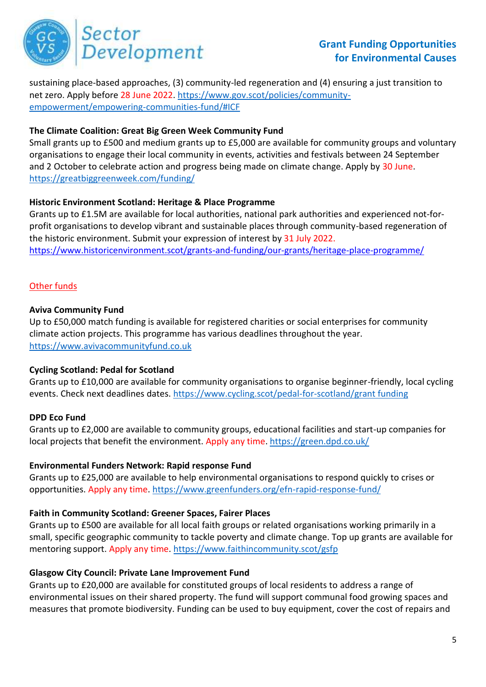

sustaining place-based approaches, (3) community-led regeneration and (4) ensuring a just transition to net zero. Apply before 28 June 2022. [https://www.gov.scot/policies/community](https://www.gov.scot/policies/community-empowerment/empowering-communities-fund/#ICF)[empowerment/empowering-communities-fund/#ICF](https://www.gov.scot/policies/community-empowerment/empowering-communities-fund/#ICF)

#### **The Climate Coalition: Great Big Green Week Community Fund**

Small grants up to £500 and medium grants up to £5,000 are available for community groups and voluntary organisations to engage their local community in events, activities and festivals between 24 September and 2 October to celebrate action and progress being made on climate change. Apply by 30 June. <https://greatbiggreenweek.com/funding/>

#### **Historic Environment Scotland: Heritage & Place Programme**

Grants up to £1.5M are available for local authorities, national park authorities and experienced not-forprofit organisations to develop vibrant and sustainable places through community-based regeneration of the historic environment. Submit your expression of interest by 31 July 2022. <https://www.historicenvironment.scot/grants-and-funding/our-grants/heritage-place-programme/>

#### Other funds

#### **Aviva Community Fund**

Up to £50,000 match funding is available for registered charities or social enterprises for community climate action projects. This programme has various deadlines throughout the year. [https://www.avivacommunityfund.co.uk](https://www.avivacommunityfund.co.uk/)

#### **Cycling Scotland: Pedal for Scotland**

Grants up to £10,000 are available for community organisations to organise beginner-friendly, local cycling events. Check next deadlines dates. [https://www.cycling.scot/pedal-for-scotland/grant funding](https://www.cycling.scot/pedal-for-scotland/grant-funding)

#### **DPD Eco Fund**

Grants up to £2,000 are available to community groups, educational facilities and start-up companies for local projects that benefit the environment. Apply any time. <https://green.dpd.co.uk/>

#### **Environmental Funders Network: Rapid response Fund**

Grants up to £25,000 are available to help environmental organisations to respond quickly to crises or opportunities. Apply any time[. https://www.greenfunders.org/efn-rapid-response-fund/](https://www.greenfunders.org/efn-rapid-response-fund/)

#### **Faith in Community Scotland: Greener Spaces, Fairer Places**

Grants up to £500 are available for all local faith groups or related organisations working primarily in a small, specific geographic community to tackle poverty and climate change. Top up grants are available for mentoring support. Apply any time. <https://www.faithincommunity.scot/gsfp>

#### **Glasgow City Council: Private Lane Improvement Fund**

Grants up to £20,000 are available for constituted groups of local residents to address a range of environmental issues on their shared property. The fund will support communal food growing spaces and measures that promote biodiversity. Funding can be used to buy equipment, cover the cost of repairs and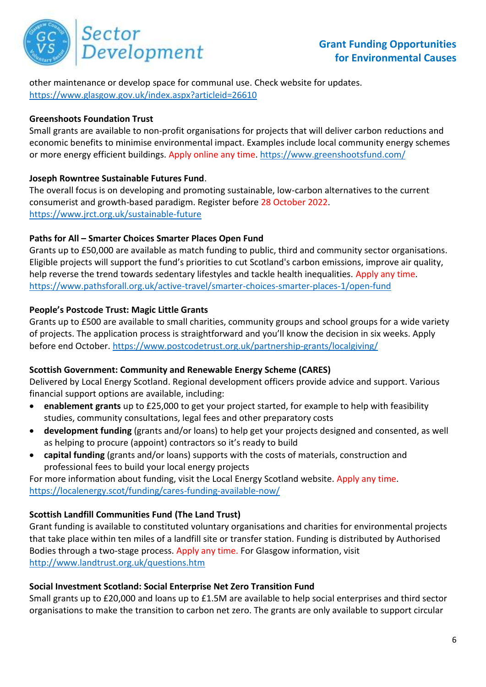

other maintenance or develop space for communal use. Check website for updates. <https://www.glasgow.gov.uk/index.aspx?articleid=26610>

#### **Greenshoots Foundation Trust**

Small grants are available to non-profit organisations for projects that will deliver carbon reductions and economic benefits to minimise environmental impact. Examples include local community energy schemes or more energy efficient buildings. Apply online any time[. https://www.greenshootsfund.com/](https://www.greenshootsfund.com/)

#### **Joseph Rowntree Sustainable Futures Fund**.

The overall focus is on developing and promoting sustainable, low-carbon alternatives to the current consumerist and growth-based paradigm. Register before 28 October 2022. <https://www.jrct.org.uk/sustainable-future>

#### **Paths for All – Smarter Choices Smarter Places Open Fund**

Grants up to £50,000 are available as match funding to public, third and community sector organisations. Eligible projects will support the fund's priorities to cut Scotland's carbon emissions, improve air quality, help reverse the trend towards sedentary lifestyles and tackle health inequalities. Apply any time. <https://www.pathsforall.org.uk/active-travel/smarter-choices-smarter-places-1/open-fund>

#### **People's Postcode Trust: Magic Little Grants**

Grants up to £500 are available to small charities, community groups and school groups for a wide variety of projects. The application process is straightforward and you'll know the decision in six weeks. Apply before end October.<https://www.postcodetrust.org.uk/partnership-grants/localgiving/>

#### **Scottish Government: Community and Renewable Energy Scheme (CARES)**

Delivered by Local Energy Scotland. Regional development officers provide advice and support. Various financial support options are available, including:

- **enablement grants** up to £25,000 to get your project started, for example to help with feasibility studies, community consultations, legal fees and other preparatory costs
- **development funding** (grants and/or loans) to help get your projects designed and consented, as well as helping to procure (appoint) contractors so it's ready to build
- **capital funding** (grants and/or loans) supports with the costs of materials, construction and professional fees to build your local energy projects

For more information about funding, visit the Local Energy Scotland website. Apply any time. <https://localenergy.scot/funding/cares-funding-available-now/>

#### **Scottish Landfill Communities Fund (The Land Trust)**

Grant funding is available to constituted voluntary organisations and charities for environmental projects that take place within ten miles of a landfill site or transfer station. Funding is distributed by Authorised Bodies through a two-stage process. Apply any time. For Glasgow information, visit <http://www.landtrust.org.uk/questions.htm>

#### **Social Investment Scotland: Social Enterprise Net Zero Transition Fund**

Small grants up to £20,000 and loans up to £1.5M are available to help social enterprises and third sector organisations to make the transition to carbon net zero. The grants are only available to support circular